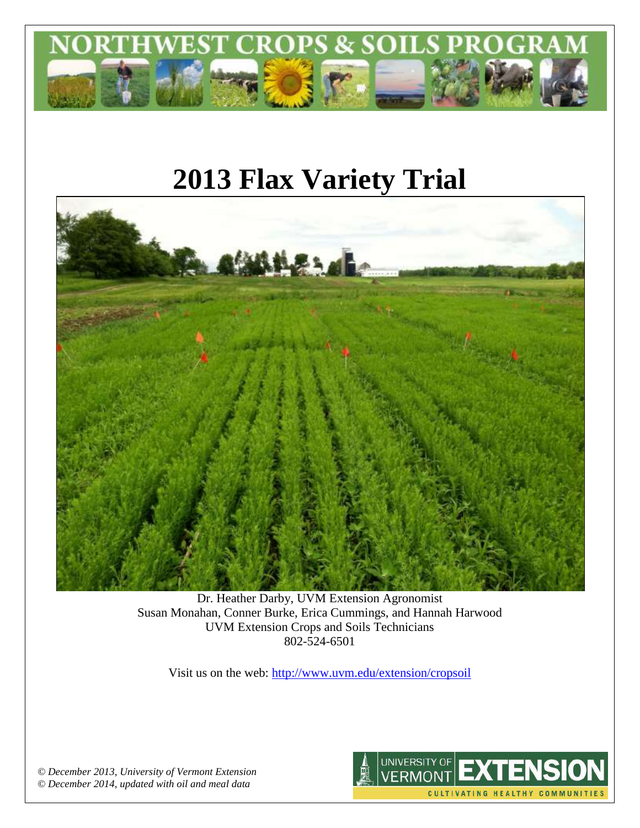

# **2013 Flax Variety Trial**



Dr. Heather Darby, UVM Extension Agronomist Susan Monahan, Conner Burke, Erica Cummings, and Hannah Harwood UVM Extension Crops and Soils Technicians 802-524-6501

Visit us on the web: <http://www.uvm.edu/extension/cropsoil>

*© December 2013, University of Vermont Extension © December 2014, updated with oil and meal data*

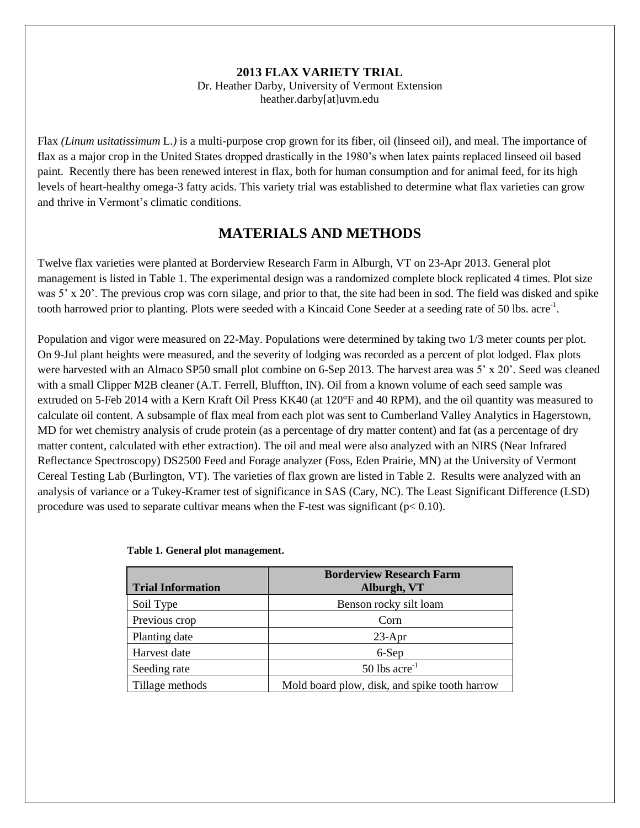### **2013 FLAX VARIETY TRIAL** Dr. Heather Darby, University of Vermont Extension heather.darby[at]uvm.edu

Flax *(Linum usitatissimum* L.*)* is a multi-purpose crop grown for its fiber, oil (linseed oil), and meal. The importance of flax as a major crop in the United States dropped drastically in the 1980's when latex paints replaced linseed oil based paint. Recently there has been renewed interest in flax, both for human consumption and for animal feed, for its high levels of heart-healthy omega-3 fatty acids. This variety trial was established to determine what flax varieties can grow and thrive in Vermont's climatic conditions.

## **MATERIALS AND METHODS**

Twelve flax varieties were planted at Borderview Research Farm in Alburgh, VT on 23-Apr 2013. General plot management is listed in Table 1. The experimental design was a randomized complete block replicated 4 times. Plot size was 5' x 20'. The previous crop was corn silage, and prior to that, the site had been in sod. The field was disked and spike tooth harrowed prior to planting. Plots were seeded with a Kincaid Cone Seeder at a seeding rate of 50 lbs. acre<sup>-1</sup>.

Population and vigor were measured on 22-May. Populations were determined by taking two 1/3 meter counts per plot. On 9-Jul plant heights were measured, and the severity of lodging was recorded as a percent of plot lodged. Flax plots were harvested with an Almaco SP50 small plot combine on 6-Sep 2013. The harvest area was 5' x 20'. Seed was cleaned with a small Clipper M2B cleaner (A.T. Ferrell, Bluffton, IN). Oil from a known volume of each seed sample was extruded on 5-Feb 2014 with a Kern Kraft Oil Press KK40 (at 120°F and 40 RPM), and the oil quantity was measured to calculate oil content. A subsample of flax meal from each plot was sent to Cumberland Valley Analytics in Hagerstown, MD for wet chemistry analysis of crude protein (as a percentage of dry matter content) and fat (as a percentage of dry matter content, calculated with ether extraction). The oil and meal were also analyzed with an NIRS (Near Infrared Reflectance Spectroscopy) DS2500 Feed and Forage analyzer (Foss, Eden Prairie, MN) at the University of Vermont Cereal Testing Lab (Burlington, VT). The varieties of flax grown are listed in Table 2. Results were analyzed with an analysis of variance or a Tukey-Kramer test of significance in SAS (Cary, NC). The Least Significant Difference (LSD) procedure was used to separate cultivar means when the F-test was significant ( $p < 0.10$ ).

| <b>Trial Information</b> | <b>Borderview Research Farm</b><br>Alburgh, VT |
|--------------------------|------------------------------------------------|
| Soil Type                | Benson rocky silt loam                         |
| Previous crop            | Corn                                           |
| Planting date            | $23-Apr$                                       |
| Harvest date             | 6-Sep                                          |
| Seeding rate             | 50 lbs $\arccos 50$                            |
| Tillage methods          | Mold board plow, disk, and spike tooth harrow  |

#### **Table 1. General plot management.**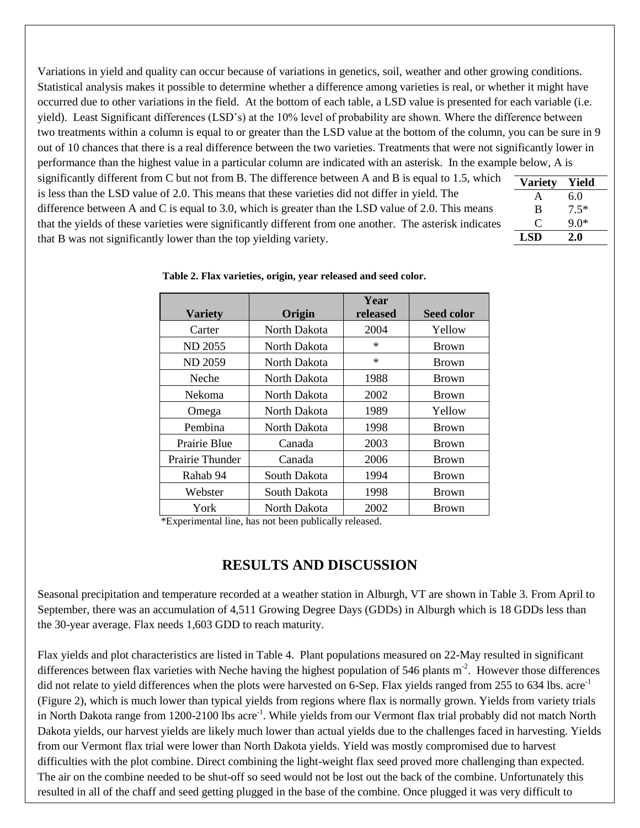Variations in yield and quality can occur because of variations in genetics, soil, weather and other growing conditions. Statistical analysis makes it possible to determine whether a difference among varieties is real, or whether it might have occurred due to other variations in the field. At the bottom of each table, a LSD value is presented for each variable (i.e. yield). Least Significant differences (LSD's) at the 10% level of probability are shown. Where the difference between two treatments within a column is equal to or greater than the LSD value at the bottom of the column, you can be sure in 9 out of 10 chances that there is a real difference between the two varieties. Treatments that were not significantly lower in performance than the highest value in a particular column are indicated with an asterisk. In the example below, A is

significantly different from C but not from B. The difference between A and B is equal to 1.5, which is less than the LSD value of 2.0. This means that these varieties did not differ in yield. The difference between A and C is equal to 3.0, which is greater than the LSD value of 2.0. This means that the yields of these varieties were significantly different from one another. The asterisk indicates that B was not significantly lower than the top yielding variety.

| Variety   | Yield  |
|-----------|--------|
| A         | 6.0    |
| B         | $7.5*$ |
| $\bigcap$ | $9.0*$ |
| LSD       | 2.0    |

|                 |              | Year     |                   |
|-----------------|--------------|----------|-------------------|
| <b>Variety</b>  | Origin       | released | <b>Seed color</b> |
| Carter          | North Dakota | 2004     | Yellow            |
| <b>ND 2055</b>  | North Dakota | *        | <b>Brown</b>      |
| <b>ND 2059</b>  | North Dakota | $\ast$   | <b>Brown</b>      |
| Neche           | North Dakota | 1988     | <b>Brown</b>      |
| Nekoma          | North Dakota | 2002     | <b>Brown</b>      |
| Omega           | North Dakota | 1989     | Yellow            |
| Pembina         | North Dakota | 1998     | <b>Brown</b>      |
| Prairie Blue    | Canada       | 2003     | <b>Brown</b>      |
| Prairie Thunder | Canada       | 2006     | <b>Brown</b>      |
| Rahab 94        | South Dakota | 1994     | <b>Brown</b>      |
| Webster         | South Dakota | 1998     | <b>Brown</b>      |
| York            | North Dakota | 2002     | <b>Brown</b>      |

**Table 2. Flax varieties, origin, year released and seed color.** 

\*Experimental line, has not been publically released.

## **RESULTS AND DISCUSSION**

Seasonal precipitation and temperature recorded at a weather station in Alburgh, VT are shown in Table 3. From April to September, there was an accumulation of 4,511 Growing Degree Days (GDDs) in Alburgh which is 18 GDDs less than the 30-year average. Flax needs 1,603 GDD to reach maturity.

Flax yields and plot characteristics are listed in Table 4. Plant populations measured on 22-May resulted in significant differences between flax varieties with Neche having the highest population of 546 plants  $m<sup>-2</sup>$ . However those differences did not relate to yield differences when the plots were harvested on 6-Sep. Flax yields ranged from 255 to 634 lbs. acre<sup>-1</sup> (Figure 2), which is much lower than typical yields from regions where flax is normally grown. Yields from variety trials in North Dakota range from 1200-2100 lbs acre<sup>-1</sup>. While yields from our Vermont flax trial probably did not match North Dakota yields, our harvest yields are likely much lower than actual yields due to the challenges faced in harvesting. Yields from our Vermont flax trial were lower than North Dakota yields. Yield was mostly compromised due to harvest difficulties with the plot combine. Direct combining the light-weight flax seed proved more challenging than expected. The air on the combine needed to be shut-off so seed would not be lost out the back of the combine. Unfortunately this resulted in all of the chaff and seed getting plugged in the base of the combine. Once plugged it was very difficult to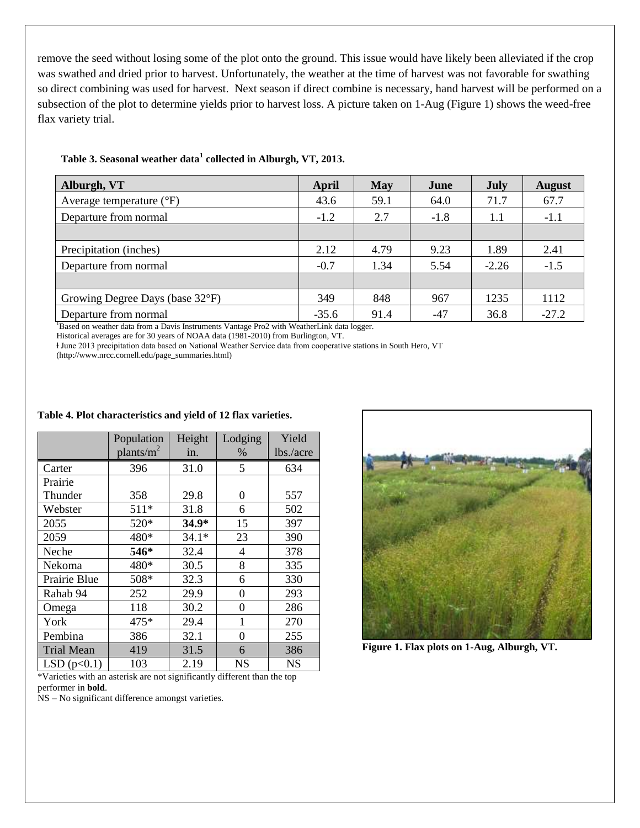remove the seed without losing some of the plot onto the ground. This issue would have likely been alleviated if the crop was swathed and dried prior to harvest. Unfortunately, the weather at the time of harvest was not favorable for swathing so direct combining was used for harvest. Next season if direct combine is necessary, hand harvest will be performed on a subsection of the plot to determine yields prior to harvest loss. A picture taken on 1-Aug (Figure 1) shows the weed-free flax variety trial.

| Alburgh, VT                         | April   | <b>May</b> | June   | <b>July</b> | <b>August</b> |
|-------------------------------------|---------|------------|--------|-------------|---------------|
| Average temperature $({}^{\circ}F)$ | 43.6    | 59.1       | 64.0   | 71.7        | 67.7          |
| Departure from normal               | $-1.2$  | 2.7        | $-1.8$ | 1.1         | $-1.1$        |
|                                     |         |            |        |             |               |
| Precipitation (inches)              | 2.12    | 4.79       | 9.23   | 1.89        | 2.41          |
| Departure from normal               | $-0.7$  | 1.34       | 5.54   | $-2.26$     | $-1.5$        |
|                                     |         |            |        |             |               |
| Growing Degree Days (base 32°F)     | 349     | 848        | 967    | 1235        | 1112          |
| Departure from normal               | $-35.6$ | 91.4       | $-47$  | 36.8        | $-27.2$       |

#### **Table 3. Seasonal weather data<sup>1</sup> collected in Alburgh, VT, 2013.**

<sup>1</sup>Based on weather data from a Davis Instruments Vantage Pro2 with WeatherLink data logger.

Historical averages are for 30 years of NOAA data (1981-2010) from Burlington, VT.

ⱡ June 2013 precipitation data based on National Weather Service data from cooperative stations in South Hero, VT

(http://www.nrcc.cornell.edu/page\_summaries.html)

## Population | Height | Lodging | Yield plants/ $m^2$ in. % lbs./acre Carter | 396 | 31.0 | 5 | 634 Prairie Thunder | 358 | 29.8 | 0 | 557 Webster | 511<sup>\*</sup> | 31.8 | 6 | 502 2055 520\* **34.9\*** 15 397 2059 | 480\* | 34.1\* | 23 | 390 Neche | **546\*** | 32.4 | 4 | 378 Nekoma | 480<sup>\*</sup> | 30.5 | 8 | 335 Prairie Blue | 508\* | 32.3 | 6 | 330 Rahab 94 | 252 | 29.9 | 0 | 293 Omega 118 30.2 0 286 York | 475<sup>\*</sup> | 29.4 | 1 | 270 Pembina | 386 | 32.1 | 0 | 255 Trial Mean | 419 | 31.5 | 6 | 386 LSD  $(p<0.1)$  | 103 | 2.19 | NS | NS

#### **Table 4. Plot characteristics and yield of 12 flax varieties.**

\*Varieties with an asterisk are not significantly different than the top performer in **bold**.

NS – No significant difference amongst varieties.



**Figure 1. Flax plots on 1-Aug, Alburgh, VT.**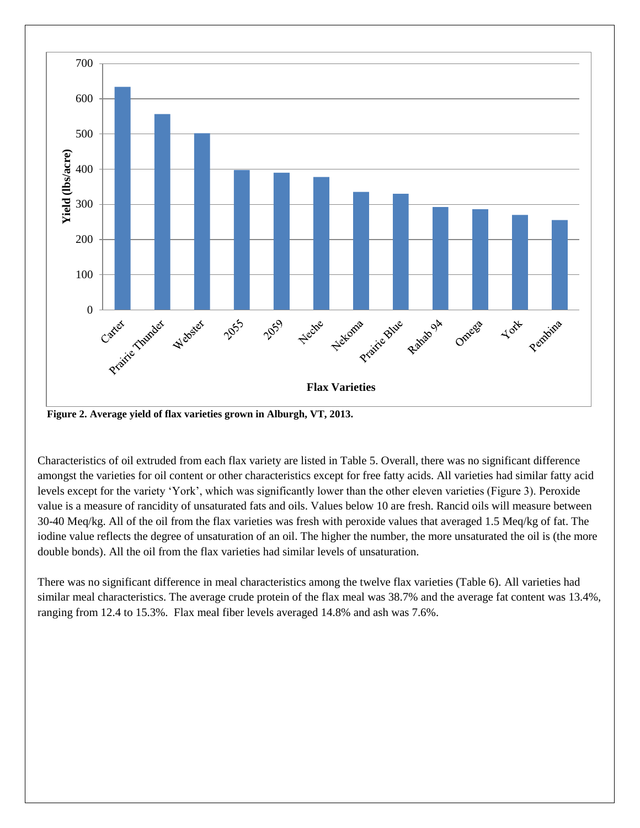

**Figure 2. Average yield of flax varieties grown in Alburgh, VT, 2013.** 

Characteristics of oil extruded from each flax variety are listed in Table 5. Overall, there was no significant difference amongst the varieties for oil content or other characteristics except for free fatty acids. All varieties had similar fatty acid levels except for the variety 'York', which was significantly lower than the other eleven varieties (Figure 3). Peroxide value is a measure of rancidity of unsaturated fats and oils. Values below 10 are fresh. Rancid oils will measure between 30-40 Meq/kg. All of the oil from the flax varieties was fresh with peroxide values that averaged 1.5 Meq/kg of fat. The iodine value reflects the degree of unsaturation of an oil. The higher the number, the more unsaturated the oil is (the more double bonds). All the oil from the flax varieties had similar levels of unsaturation.

There was no significant difference in meal characteristics among the twelve flax varieties (Table 6). All varieties had similar meal characteristics. The average crude protein of the flax meal was 38.7% and the average fat content was 13.4%, ranging from 12.4 to 15.3%. Flax meal fiber levels averaged 14.8% and ash was 7.6%.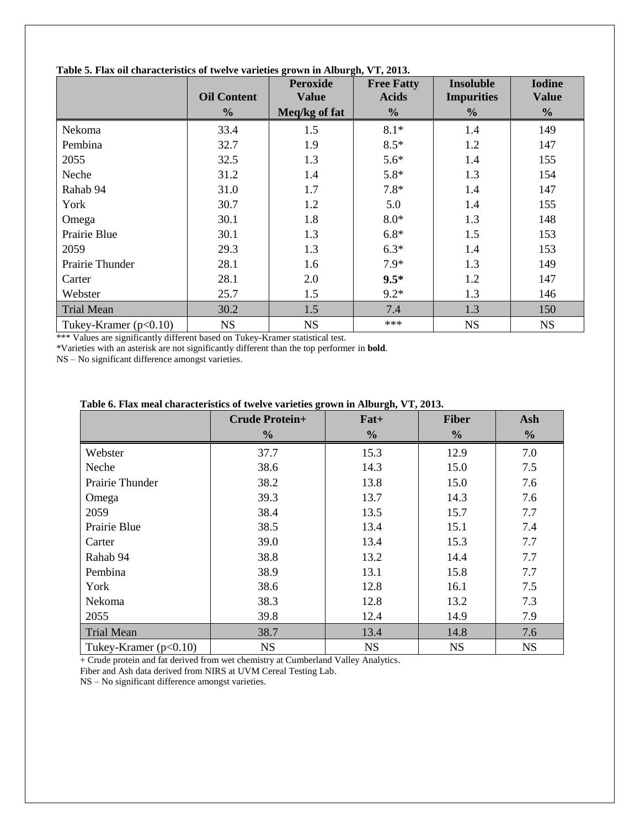| Table of Flax on characteristics of twenty varieties grown in Anburgity v 1, 2013. |                    | <b>Peroxide</b> | <b>Free Fatty</b> | <b>Insoluble</b>  | <b>Iodine</b>  |
|------------------------------------------------------------------------------------|--------------------|-----------------|-------------------|-------------------|----------------|
|                                                                                    | <b>Oil Content</b> | <b>Value</b>    | <b>Acids</b>      | <b>Impurities</b> | <b>Value</b>   |
|                                                                                    | $\frac{6}{6}$      | Meq/kg of fat   | $\frac{6}{10}$    | $\frac{6}{6}$     | $\frac{6}{10}$ |
| Nekoma                                                                             | 33.4               | 1.5             | $8.1*$            | 1.4               | 149            |
| Pembina                                                                            | 32.7               | 1.9             | $8.5*$            | 1.2               | 147            |
| 2055                                                                               | 32.5               | 1.3             | $5.6*$            | 1.4               | 155            |
| Neche                                                                              | 31.2               | 1.4             | $5.8*$            | 1.3               | 154            |
| Rahab 94                                                                           | 31.0               | 1.7             | $7.8*$            | 1.4               | 147            |
| York                                                                               | 30.7               | 1.2             | 5.0               | 1.4               | 155            |
| Omega                                                                              | 30.1               | 1.8             | $8.0*$            | 1.3               | 148            |
| Prairie Blue                                                                       | 30.1               | 1.3             | $6.8*$            | 1.5               | 153            |
| 2059                                                                               | 29.3               | 1.3             | $6.3*$            | 1.4               | 153            |
| Prairie Thunder                                                                    | 28.1               | 1.6             | $7.9*$            | 1.3               | 149            |
| Carter                                                                             | 28.1               | 2.0             | $9.5*$            | 1.2               | 147            |
| Webster                                                                            | 25.7               | 1.5             | $9.2*$            | 1.3               | 146            |
| <b>Trial Mean</b>                                                                  | 30.2               | 1.5             | 7.4               | 1.3               | 150            |
| Tukey-Kramer $(p<0.10)$                                                            | <b>NS</b>          | <b>NS</b>       | $***$             | <b>NS</b>         | <b>NS</b>      |

**Table 5. Flax oil characteristics of twelve varieties grown in Alburgh, VT, 2013.** 

\*\*\* Values are significantly different based on Tukey-Kramer statistical test.

\*Varieties with an asterisk are not significantly different than the top performer in **bold**.

NS – No significant difference amongst varieties.

| Table 6. Flax meal characteristics of twelve varieties grown in Alburgh, VT, 2013. |  |  |
|------------------------------------------------------------------------------------|--|--|
|------------------------------------------------------------------------------------|--|--|

|                         | o.<br><b>Crude Protein+</b> | $\bullet$<br>$_{\text{Fat+}}$ | <b>Fiber</b>  | Ash           |
|-------------------------|-----------------------------|-------------------------------|---------------|---------------|
|                         | $\frac{6}{9}$               | $\frac{6}{10}$                | $\frac{0}{0}$ | $\frac{0}{0}$ |
| Webster                 | 37.7                        | 15.3                          | 12.9          | 7.0           |
| Neche                   | 38.6                        | 14.3                          | 15.0          | 7.5           |
| Prairie Thunder         | 38.2                        | 13.8                          | 15.0          | 7.6           |
| Omega                   | 39.3                        | 13.7                          | 14.3          | 7.6           |
| 2059                    | 38.4                        | 13.5                          | 15.7          | 7.7           |
| Prairie Blue            | 38.5                        | 13.4                          | 15.1          | 7.4           |
| Carter                  | 39.0                        | 13.4                          | 15.3          | 7.7           |
| Rahab 94                | 38.8                        | 13.2                          | 14.4          | 7.7           |
| Pembina                 | 38.9                        | 13.1                          | 15.8          | 7.7           |
| York                    | 38.6                        | 12.8                          | 16.1          | 7.5           |
| Nekoma                  | 38.3                        | 12.8                          | 13.2          | 7.3           |
| 2055                    | 39.8                        | 12.4                          | 14.9          | 7.9           |
| <b>Trial Mean</b>       | 38.7                        | 13.4                          | 14.8          | 7.6           |
| Tukey-Kramer $(p<0.10)$ | <b>NS</b>                   | <b>NS</b>                     | <b>NS</b>     | <b>NS</b>     |

+ Crude protein and fat derived from wet chemistry at Cumberland Valley Analytics.

Fiber and Ash data derived from NIRS at UVM Cereal Testing Lab.

NS – No significant difference amongst varieties.